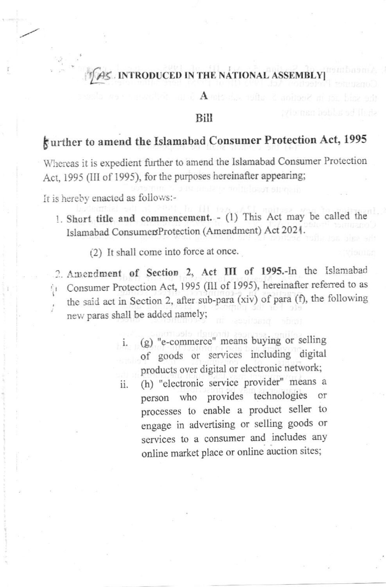## TAS INTRODUCED IN THE NATIONAL ASSEMBLY

**Bill** 

А

# gurther to amend the Islamabad Consumer Protection Act, 1995

Whereas it is expedient further to amend the Islamabad Consumer Protection Act, 1995 (III of 1995), for the purposes hereinafter appearing;

It is hereby enacted as follows:-

1. Short title and commencement. - (1) This Act may be called the Islamabad ConsumersProtection (Amendment) Act 2021.

(2) It shall come into force at once.

2. Amendment of Section 2, Act III of 1995.-In the Islamabad Consumer Protection Act, 1995 (III of 1995), hereinafter referred to as the said act in Section 2, after sub-para (xiv) of para (f), the following new paras shall be added namely;

- (g) "e-commerce" means buying or selling  $\cdot$  i. of goods or services including digital products over digital or electronic network;
- (h) "electronic service provider" means a ii. person who provides technologies or processes to enable a product seller to engage in advertising or selling goods or services to a consumer and includes any online market place or online auction sites;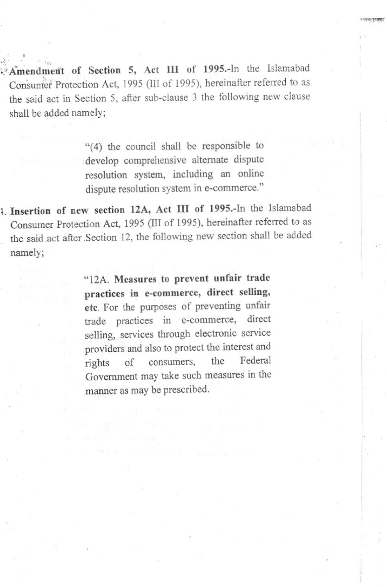Amendment of Section 5, Act III of 1995.-In the Islamabad Consumer Protection Act, 1995 (III of 1995), hereinafter referred to as the said act in Section 5, after sub-clause 3 the following new clause shall be added namelY;

> "(4) the council shall be responsible to develop comprehensive altemate dispute resolution system, including an online dispute resolution system in e-commerce."

1. Insertion of new section 12A, Act III of 1995.-In the Islamabad Consumer Protection Act, 1995 (III of 1995), hereinafter referred to as the said act after Section 12, the following new section shall be added namelY;

> "12A. Measures to prevent unfair trade practices in e-commerce, direct selling, etc. For the purposes of preventing unfair trade practices in e-commerce, direct sclling, services through electronic service providers and also to protect the interest and rights of consumers, the Federal Goyemment may take such measures in the manner as may be prescribed.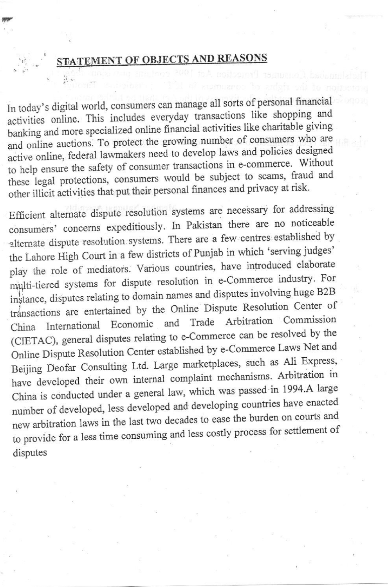## **STATEMENT OF OBJECTS AND REASONS**

In today's digital world, consumers can manage all sorts of personal financial activities online. This includes everyday transactions like shopping and banking and more specialized online financial activities like charitable giving and online auctions. To protect the growing number of consumers who are active online, federal lawmakers need to develop laws and policies designed to help ensure the safety of consumer transactions in e-commerce. Without these legal protections, consumers would be subject to scams, fraud and other illicit activities that put their personal finances and privacy at risk.

Efficient alternate dispute resolution systems are necessary for addressing consumers' concerns expeditiously. In Pakistan there are no noticeable alternate dispute resolution systems. There are a few centres established by the Lahore High Court in a few districts of Punjab in which 'serving judges' play the role of mediators. Various countries, have introduced elaborate multi-tiered systems for dispute resolution in e-Commerce industry. For instance, disputes relating to domain names and disputes involving huge B2B transactions are entertained by the Online Dispute Resolution Center of China International Economic and Trade Arbitration Commission (CIETAC), general disputes relating to e-Commerce can be resolved by the Online Dispute Resolution Center established by e-Commerce Laws Net and Beijing Deofar Consulting Ltd. Large marketplaces, such as Ali Express, have developed their own internal complaint mechanisms. Arbitration in China is conducted under a general law, which was passed in 1994.A large number of developed, less developed and developing countries have enacted new arbitration laws in the last two decades to ease the burden on courts and to provide for a less time consuming and less costly process for settlement of disputes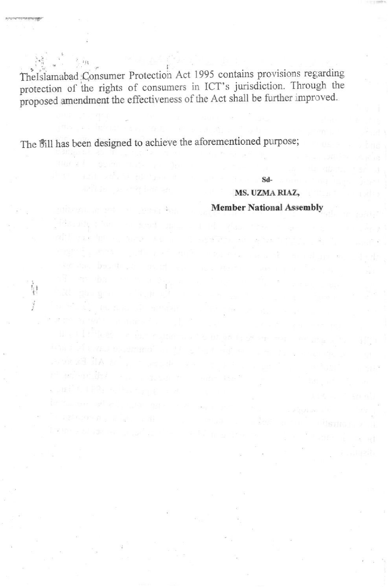The Islamabad Consumer Protection Act 1995 contains provisions regarding protection of the rights of consumers in ICT's jurisdiction. Through the proposed amendment the effectiveness of the Act shall be further improved.

The Bill has been designed to achieve the aforementioned purpose;

Sd-

#### MS. UZMA RIAZ, **Member National Assembly**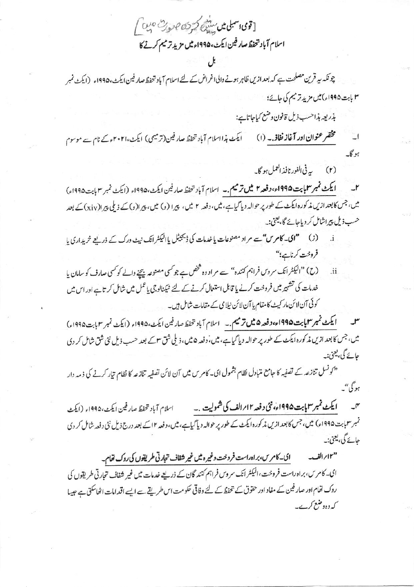[قوى سبلى مىں سندى كتر فن صورت ہيں ] اسلام آباد تتحفظ صار فين ايكث، ١٩٩۵ء ميں مزيد ترميم كرنے كا

چونکہ سپر قرین مصلحت ہے کہ بعد ازیں ظاہر ہونے والی اغراض کے لئے اسلام آباد تحفظ صار فین ایکٹ، ۱۹۹۵ء (ایکٹ نمبر ۳ بابت ۱۹۹۵ء)میں مزید تر میم کی جائے؛

بذريعه بذاحسب ذيل قانون وضع كياجاتاية:

ایکٹ ہذااسلام آباد تحفظ صار فین(ترمیمی) ایکٹ،۲۰۲۱ءکے نام سے موسوم مختفر عنوان اور آغاز نفاذ. به (۱) ار  $-6x$ 

> ببرفي الفور نافذ العمل ہو گا۔  $(r)$

ا يكث نمبر سلما بت ١٩٩٥ء، وفعه ٢ ميل ترميم . \_ اسلام آباد تحفظ صار فين ايكث، ١٩٩٥ء (ايكث نمبر ٣ بابت ١٩٩٥ء)  $\mathbf{r}$ میں، جس کابعد ازیں مذکورہ ایکٹ کے طور پر حوالہ دیا گیاہے،میں، دفعہ ۲ میں، پیرا (و) میں، پیرا(د) کے ذیلی پیرا(xiy) کے بعد حسب ذیل پیراشامل کر دیاجائے گا، یعنی:۔

- (ز) صحیح اکام س<sup>می</sup>ے مراد مصنوعات یا خدمات کی ڈیجیٹل یاالیکٹر انک نیٹ ورک کے ذریعے خریداری یا فروخت کرناہے؛"
- (ح) "البكٹرانك سروس فراہم كنندہ" سے مراد وہ څخص ہے جو كسى مصنوعہ بیجنے والے كو كسى صارف كو سامان يا  $\mathbf{ii}$ خدمات کی تشہیر میں فروخت کرنے یا قابل استعال کرنے کے لئے ٹیکنالوجی یاعمل میں شامل کر تاہے اور اس میں کوئی آن لائن مار کیٹ کامقام پا آن لائن نیلا می کے مقامات شامل ہیں۔

ایکٹ نمبر سمایا بیت ۱۹۹۵ء وفعہ ۵ میں ترمیم ۔ سالام آباد تحفظ صار فین ایکٹ، ۱۹۹۵ء (ایکٹ نمبر ۳ بابت ۱۹۹۵ء) میں، جس کا بعد ازیں مذکورہ ایکٹ کے طور پر حوالہ دیا گیاہے، میں، دفعہ ۵ میں، ذیلی شق ۳ کے بعد حسب ذیل نئی شی شامل کر دی حائے گی، یعنی:۔

<sup>دی</sup> ونسل تنازعہ کے تصفیہ کا جامع متبادل نظام بشمول ای۔ کامر س میں آن لائن تصفیہ تنازعہ کا نظام تیار کرنے کی ذمہ دار ہو گی"۔

ايكٹ نمبر سمايابت ١٩٩۵ء، نئي د فعه ١٢؍ الف کی شموليت .۔  $r$ اسلام آباد تحفظ صارفين ايكث،١٩٩۵ء (ايكث تمبر سماہت ۱۹۹۵ء) میں، جس کابعد ازیں مذکورہ ایکٹ کے طور پر حوالہ دیا گیاہے، میں، دفعہ ۱۲ کے بعد درج ذیل نئی دفعہ شامل کر دی جائے گی، یعنی:۔

ای۔کامرس،براہ راست فروخت وغیرہ میں غیر شفاف تجارتی طریقوں کی روک تھام۔ "۱۲"ابرالف-ای۔ کامری، براہ راست فروخت، الیکٹر انک سروس فراہم کنند گان کے ذریعے خدمات میں غیر شفاف تجارتی طریقوں کی روک تھام اور صار فین کے مفاد اور حقوق کے تحفظ کے لئے وفاقی حکومت اس طریقے سے ایسے اقدامات اٹھاسکتی ہے جیسا کہ وہ وضع کرے۔